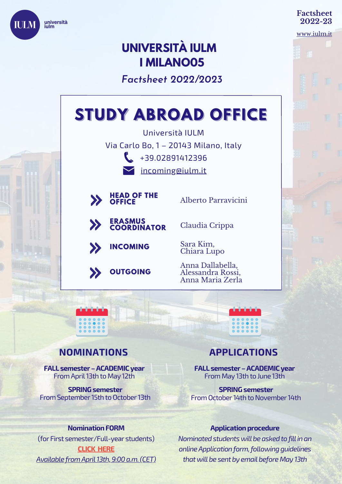

#### **Factsheet 2022-23**

[www.iulm.it](http://www.iulm.it/)

## **UNIVERSITÀ IULM I MILANO05**

*Factsheet 2022/2023*

# Università IULM **STUDY ABROAD OFFICE**

Via Carlo Bo, 1 – 20143 Milano, Italy  $\leftarrow$  +39.02891412396

**V**[incoming@iulm.it](mailto:incoming@iulm.it)



**ERASMUS COORDINATOR**

**OUTGOING**

**INCOMING**

Alberto Parravicini

Claudia Crippa

Sara Kim, Chiara Lupo

Anna Dallabella, Alessandra Rossi, Anna Maria Zerla

### **NOMINATIONS**

**FALL semester–ACADEMICyear** From April 13th to May 12th

**SPRING** semester From September 15th to October 13th

#### **Nomination FORM**

(for First semester/Full-year students) **[CLICK](https://forms.gle/pD4TowVd8k8mk64F6) [HERE](https://forms.gle/pD4TowVd8k8mk64F6)** *Available fromApril13th,9:00a.m.(CET)*

## **APPLICATIONS**

**FALL semester–ACADEMICyear** From May 13th to June 13th

**SPRING** semester From October 14th to November 14th

#### **Application procedure**

*Nominatedstudentswillbeaskedtofillinan onlineApplicationform,followingguidelines thatwillbe sentby emailbeforeMay 13th*